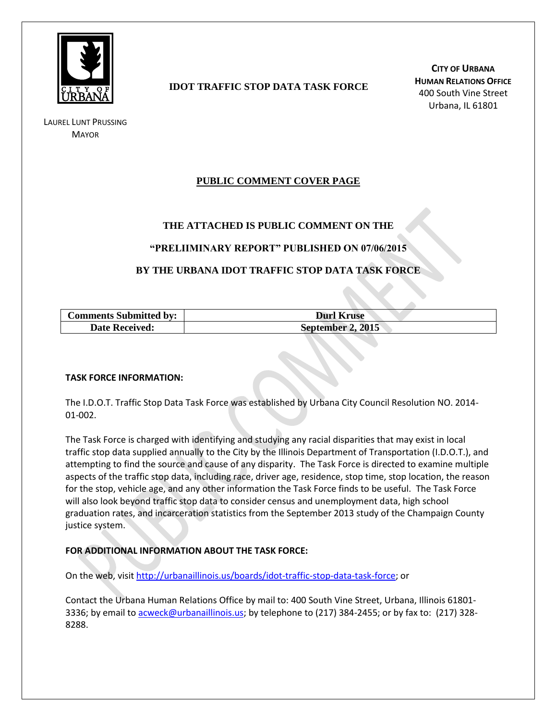

LAUREL LUNT PRUSSING **MAYOR** 

# **IDOT TRAFFIC STOP DATA TASK FORCE**

**CITY OF URBANA HUMAN RELATIONS OFFICE** 400 South Vine Street Urbana, IL 61801

# **PUBLIC COMMENT COVER PAGE**

## **THE ATTACHED IS PUBLIC COMMENT ON THE**

### **"PRELIIMINARY REPORT" PUBLISHED ON 07/06/2015**

## **BY THE URBANA IDOT TRAFFIC STOP DATA TASK FORCE**

| <b>Comments Submitted by:</b> | <b>Durl Kruse</b> |
|-------------------------------|-------------------|
| <b>Date Received:</b>         | September 2, 2015 |

#### **TASK FORCE INFORMATION:**

The I.D.O.T. Traffic Stop Data Task Force was established by Urbana City Council Resolution NO. 2014- 01-002.

The Task Force is charged with identifying and studying any racial disparities that may exist in local traffic stop data supplied annually to the City by the Illinois Department of Transportation (I.D.O.T.), and attempting to find the source and cause of any disparity. The Task Force is directed to examine multiple aspects of the traffic stop data, including race, driver age, residence, stop time, stop location, the reason for the stop, vehicle age, and any other information the Task Force finds to be useful. The Task Force will also look beyond traffic stop data to consider census and unemployment data, high school graduation rates, and incarceration statistics from the September 2013 study of the Champaign County justice system.

### **FOR ADDITIONAL INFORMATION ABOUT THE TASK FORCE:**

On the web, visit [http://urbanaillinois.us/boards/idot-traffic-stop-data-task-force;](http://urbanaillinois.us/boards/idot-traffic-stop-data-task-force) or

Contact the Urbana Human Relations Office by mail to: 400 South Vine Street, Urbana, Illinois 61801 3336; by email to [acweck@urbanaillinois.us;](mailto:acweck@urbanaillinois.us) by telephone to (217) 384-2455; or by fax to: (217) 328-8288.